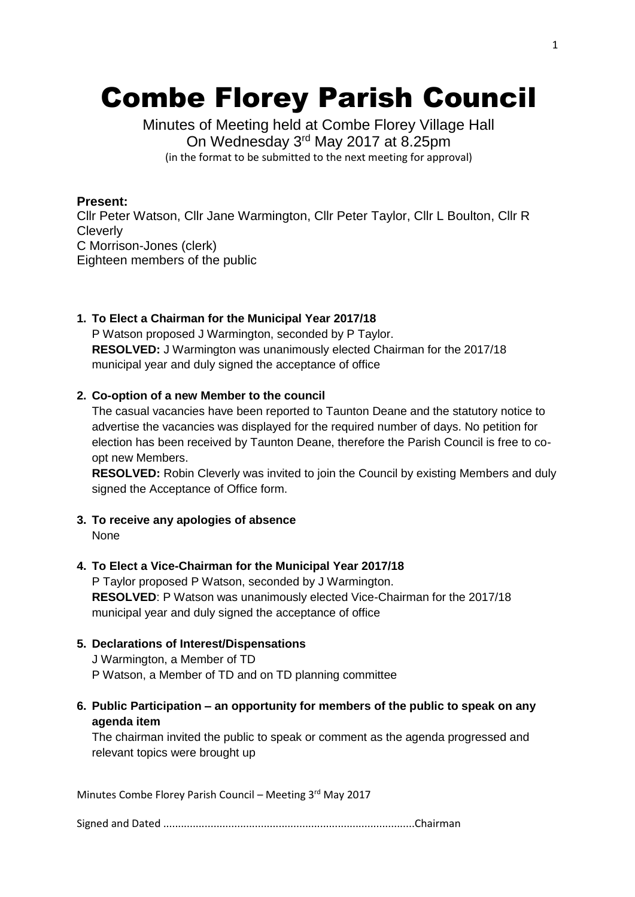# Combe Florey Parish Council

Minutes of Meeting held at Combe Florey Village Hall On Wednesday 3rd May 2017 at 8.25pm (in the format to be submitted to the next meeting for approval)

## **Present:**

Cllr Peter Watson, Cllr Jane Warmington, Cllr Peter Taylor, Cllr L Boulton, Cllr R **Cleverly** C Morrison-Jones (clerk) Eighteen members of the public

#### **1. To Elect a Chairman for the Municipal Year 2017/18**

P Watson proposed J Warmington, seconded by P Taylor. **RESOLVED:** J Warmington was unanimously elected Chairman for the 2017/18 municipal year and duly signed the acceptance of office

## **2. Co-option of a new Member to the council**

The casual vacancies have been reported to Taunton Deane and the statutory notice to advertise the vacancies was displayed for the required number of days. No petition for election has been received by Taunton Deane, therefore the Parish Council is free to coopt new Members.

**RESOLVED:** Robin Cleverly was invited to join the Council by existing Members and duly signed the Acceptance of Office form.

**3. To receive any apologies of absence**

None

# **4. To Elect a Vice-Chairman for the Municipal Year 2017/18**

P Taylor proposed P Watson, seconded by J Warmington. **RESOLVED**: P Watson was unanimously elected Vice-Chairman for the 2017/18 municipal year and duly signed the acceptance of office

# **5. Declarations of Interest/Dispensations**

J Warmington, a Member of TD P Watson, a Member of TD and on TD planning committee

# **6. Public Participation – an opportunity for members of the public to speak on any agenda item**

The chairman invited the public to speak or comment as the agenda progressed and relevant topics were brought up

Minutes Combe Florey Parish Council – Meeting 3rd May 2017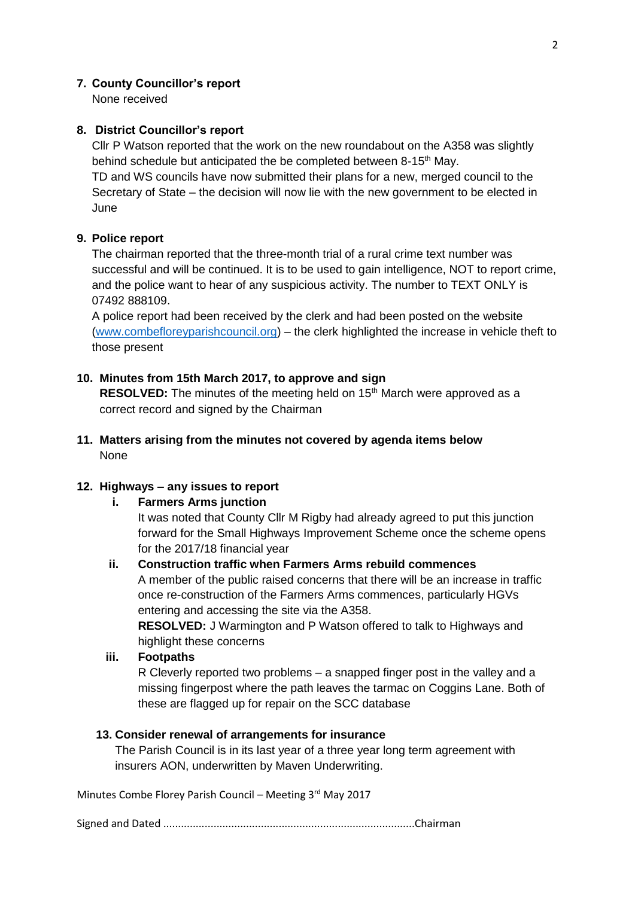## **7. County Councillor's report**

None received

## **8. District Councillor's report**

Cllr P Watson reported that the work on the new roundabout on the A358 was slightly behind schedule but anticipated the be completed between 8-15<sup>th</sup> May.

TD and WS councils have now submitted their plans for a new, merged council to the Secretary of State – the decision will now lie with the new government to be elected in June

## **9. Police report**

The chairman reported that the three-month trial of a rural crime text number was successful and will be continued. It is to be used to gain intelligence, NOT to report crime, and the police want to hear of any suspicious activity. The number to TEXT ONLY is 07492 888109.

A police report had been received by the clerk and had been posted on the website [\(www.combefloreyparishcouncil.org\)](http://www.combefloreyparishcouncil.org/) – the clerk highlighted the increase in vehicle theft to those present

## **10. Minutes from 15th March 2017, to approve and sign**

**RESOLVED:** The minutes of the meeting held on 15<sup>th</sup> March were approved as a correct record and signed by the Chairman

## **11. Matters arising from the minutes not covered by agenda items below** None

#### **12. Highways – any issues to report**

#### **i. Farmers Arms junction**

It was noted that County Cllr M Rigby had already agreed to put this junction forward for the Small Highways Improvement Scheme once the scheme opens for the 2017/18 financial year

#### **ii. Construction traffic when Farmers Arms rebuild commences**

A member of the public raised concerns that there will be an increase in traffic once re-construction of the Farmers Arms commences, particularly HGVs entering and accessing the site via the A358.

**RESOLVED:** J Warmington and P Watson offered to talk to Highways and highlight these concerns

#### **iii. Footpaths**

R Cleverly reported two problems – a snapped finger post in the valley and a missing fingerpost where the path leaves the tarmac on Coggins Lane. Both of these are flagged up for repair on the SCC database

#### **13. Consider renewal of arrangements for insurance**

The Parish Council is in its last year of a three year long term agreement with insurers AON, underwritten by Maven Underwriting.

Minutes Combe Florey Parish Council – Meeting 3rd May 2017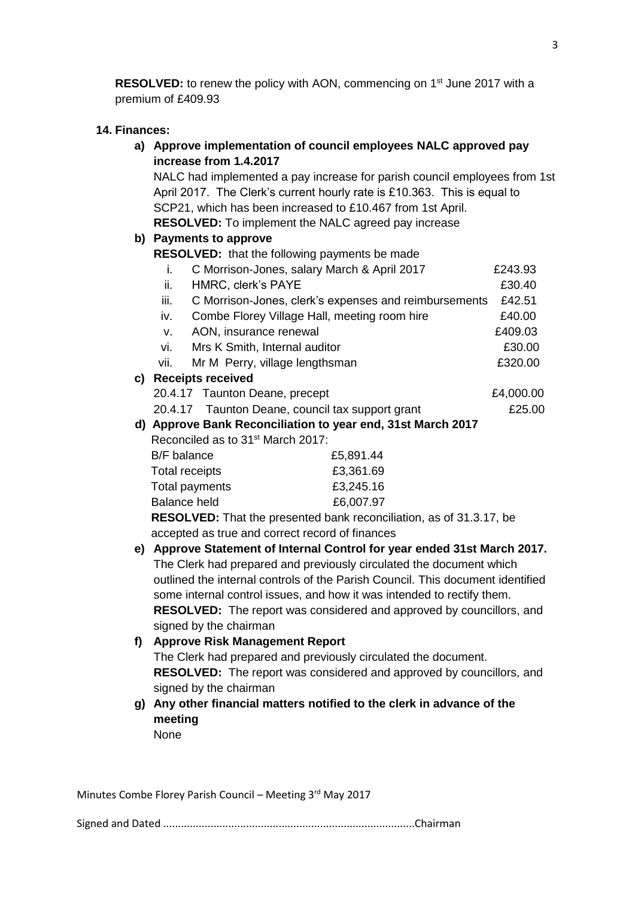**RESOLVED:** to renew the policy with AON, commencing on 1<sup>st</sup> June 2017 with a premium of £409.93

#### **14. Finances:**

| a) Approve implementation of council employees NALC approved pay |  |  |
|------------------------------------------------------------------|--|--|
| increase from 1.4.2017                                           |  |  |

NALC had implemented a pay increase for parish council employees from 1st April 2017. The Clerk's current hourly rate is £10.363. This is equal to SCP21, which has been increased to £10.467 from 1st April. **RESOLVED:** To implement the NALC agreed pay increase

#### **b) Payments to approve**

**RESOLVED:** that the following payments be made

|      | C Morrison-Jones, salary March & April 2017           | £243.93   |
|------|-------------------------------------------------------|-----------|
| ii.  | HMRC, clerk's PAYE                                    | £30.40    |
| iii. | C Morrison-Jones, clerk's expenses and reimbursements | £42.51    |
| iv.  | Combe Florey Village Hall, meeting room hire          | £40.00    |
| v.   | AON, insurance renewal                                | £409.03   |
| vi.  | Mrs K Smith, Internal auditor                         | £30.00    |
| vii. | Mr M Perry, village lengthsman                        | £320.00   |
|      | <b>Receipts received</b>                              |           |
|      | 20.4.17 Taunton Deane, precept                        | £4,000.00 |

# **c) Receipts received**

20.4.17 Taunton Deane, council tax support grant E25.00

# **d) Approve Bank Reconciliation to year end, 31st March 2017** Reconciled as to 31st March 2017:

| B/F balance                                    | £5,891.44 |
|------------------------------------------------|-----------|
| Total receipts                                 | £3,361.69 |
| Total payments                                 | £3,245.16 |
| <b>Balance held</b>                            | £6,007.97 |
| REAAL VER. The discussion of the above a contr |           |

 **RESOLVED:** That the presented bank reconciliation, as of 31.3.17, be accepted as true and correct record of finances

**e) Approve Statement of Internal Control for year ended 31st March 2017.** The Clerk had prepared and previously circulated the document which outlined the internal controls of the Parish Council. This document identified some internal control issues, and how it was intended to rectify them. **RESOLVED:** The report was considered and approved by councillors, and signed by the chairman

#### **f) Approve Risk Management Report**

The Clerk had prepared and previously circulated the document. **RESOLVED:** The report was considered and approved by councillors, and signed by the chairman

**g) Any other financial matters notified to the clerk in advance of the meeting** None

Minutes Combe Florey Parish Council – Meeting 3rd May 2017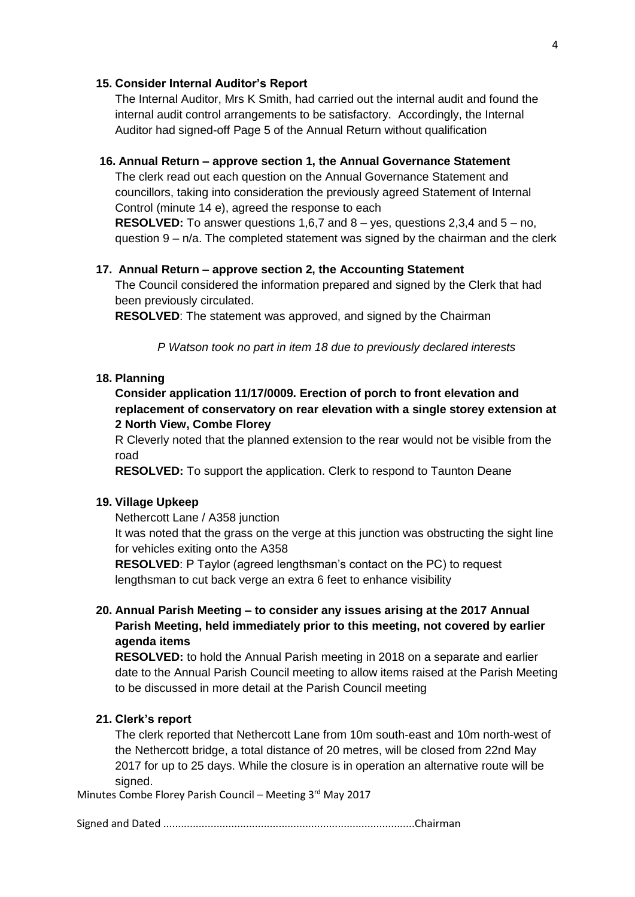#### **15. Consider Internal Auditor's Report**

The Internal Auditor, Mrs K Smith, had carried out the internal audit and found the internal audit control arrangements to be satisfactory. Accordingly, the Internal Auditor had signed-off Page 5 of the Annual Return without qualification

#### **16. Annual Return – approve section 1, the Annual Governance Statement**

The clerk read out each question on the Annual Governance Statement and councillors, taking into consideration the previously agreed Statement of Internal Control (minute 14 e), agreed the response to each

**RESOLVED:** To answer questions 1,6,7 and 8 – yes, questions 2,3,4 and 5 – no, question  $9 - n/a$ . The completed statement was signed by the chairman and the clerk

#### **17. Annual Return – approve section 2, the Accounting Statement**

The Council considered the information prepared and signed by the Clerk that had been previously circulated.

**RESOLVED**: The statement was approved, and signed by the Chairman

*P Watson took no part in item 18 due to previously declared interests*

## **18. Planning**

**Consider application 11/17/0009. Erection of porch to front elevation and replacement of conservatory on rear elevation with a single storey extension at 2 North View, Combe Florey**

R Cleverly noted that the planned extension to the rear would not be visible from the road

**RESOLVED:** To support the application. Clerk to respond to Taunton Deane

#### **19. Village Upkeep**

Nethercott Lane / A358 junction

It was noted that the grass on the verge at this junction was obstructing the sight line for vehicles exiting onto the A358

**RESOLVED**: P Taylor (agreed lengthsman's contact on the PC) to request lengthsman to cut back verge an extra 6 feet to enhance visibility

# **20. Annual Parish Meeting – to consider any issues arising at the 2017 Annual Parish Meeting, held immediately prior to this meeting, not covered by earlier agenda items**

**RESOLVED:** to hold the Annual Parish meeting in 2018 on a separate and earlier date to the Annual Parish Council meeting to allow items raised at the Parish Meeting to be discussed in more detail at the Parish Council meeting

#### **21. Clerk's report**

The clerk reported that Nethercott Lane from 10m south-east and 10m north-west of the Nethercott bridge, a total distance of 20 metres, will be closed from 22nd May 2017 for up to 25 days. While the closure is in operation an alternative route will be signed.

Minutes Combe Florey Parish Council – Meeting 3rd May 2017